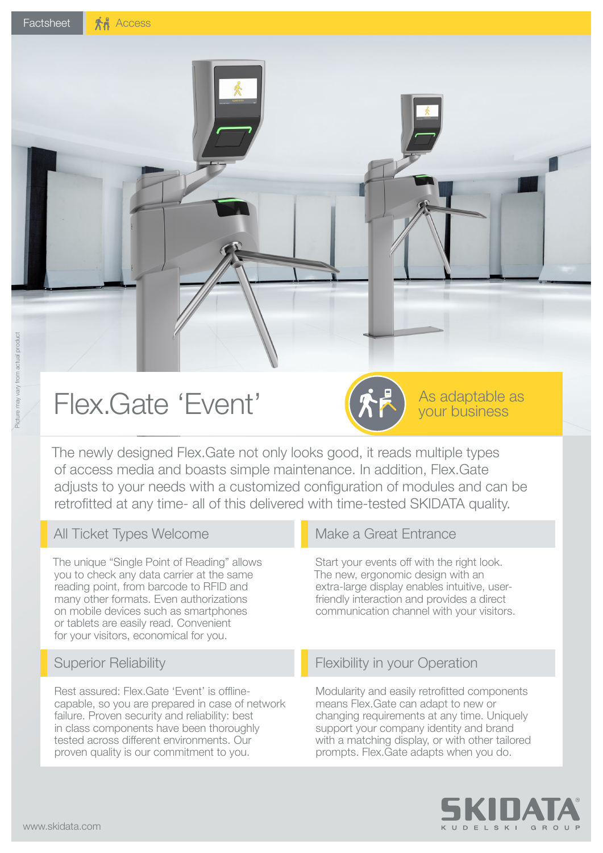# Flex.Gate 'Event'

The newly designed Flex.Gate not only looks good, it reads multiple types of access media and boasts simple maintenance. In addition, Flex.Gate adjusts to your needs with a customized configuration of modules and can be retrofitted at any time- all of this delivered with time-tested SKIDATA quality.

#### All Ticket Types Welcome

The unique "Single Point of Reading" allows you to check any data carrier at the same reading point, from barcode to RFID and many other formats. Even authorizations on mobile devices such as smartphones or tablets are easily read. Convenient for your visitors, economical for you.

#### Superior Reliability

Rest assured: Flex.Gate 'Event' is offlinecapable, so you are prepared in case of network failure. Proven security and reliability: best in class components have been thoroughly tested across different environments. Our proven quality is our commitment to you.

#### Make a Great Entrance

Start your events off with the right look. The new, ergonomic design with an extra-large display enables intuitive, userfriendly interaction and provides a direct communication channel with your visitors.

As adaptable as your business

#### Flexibility in your Operation

Modularity and easily retrofitted components means Flex.Gate can adapt to new or changing requirements at any time. Uniquely support your company identity and brand with a matching display, or with other tailored prompts. Flex.Gate adapts when you do.